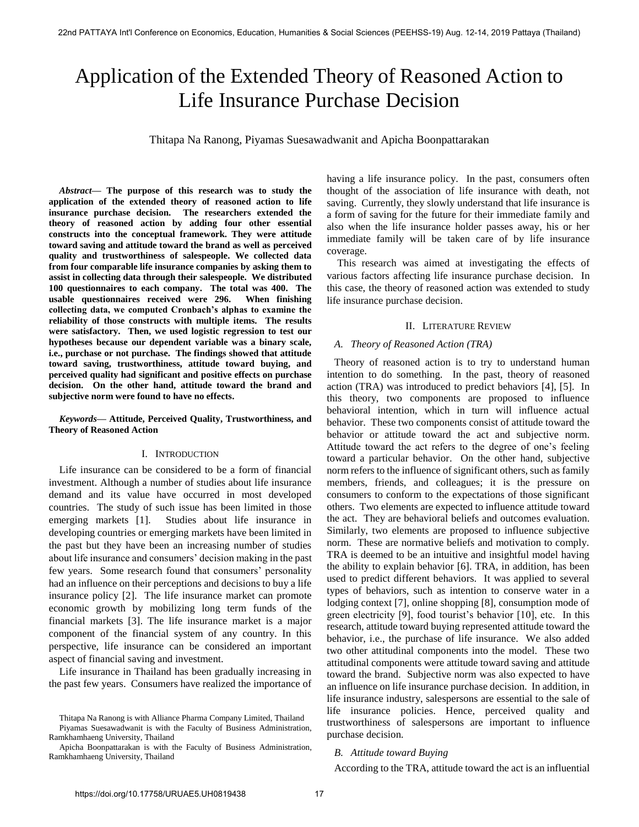# Application of the Extended Theory of Reasoned Action to Life Insurance Purchase Decision

Thitapa Na Ranong, Piyamas Suesawadwanit and Apicha Boonpattarakan

*Abstract***— The purpose of this research was to study the application of the extended theory of reasoned action to life insurance purchase decision. The researchers extended the theory of reasoned action by adding four other essential constructs into the conceptual framework. They were attitude toward saving and attitude toward the brand as well as perceived quality and trustworthiness of salespeople. We collected data from four comparable life insurance companies by asking them to assist in collecting data through their salespeople. We distributed 100 questionnaires to each company. The total was 400. The usable questionnaires received were 296. When finishing collecting data, we computed Cronbach's alphas to examine the reliability of those constructs with multiple items. The results were satisfactory. Then, we used logistic regression to test our hypotheses because our dependent variable was a binary scale, i.e., purchase or not purchase. The findings showed that attitude toward saving, trustworthiness, attitude toward buying, and perceived quality had significant and positive effects on purchase decision. On the other hand, attitude toward the brand and subjective norm were found to have no effects.** 

# *Keywords***— Attitude, Perceived Quality, Trustworthiness, and Theory of Reasoned Action**

# I. INTRODUCTION

Life insurance can be considered to be a form of financial investment. Although a number of studies about life insurance demand and its value have occurred in most developed countries. The study of such issue has been limited in those emerging markets [1]. Studies about life insurance in developing countries or emerging markets have been limited in the past but they have been an increasing number of studies about life insurance and consumers' decision making in the past few years. Some research found that consumers' personality had an influence on their perceptions and decisions to buy a life insurance policy [2]. The life insurance market can promote economic growth by mobilizing long term funds of the financial markets [3]. The life insurance market is a major component of the financial system of any country. In this perspective, life insurance can be considered an important aspect of financial saving and investment.

Life insurance in Thailand has been gradually increasing in the past few years. Consumers have realized the importance of having a life insurance policy. In the past, consumers often thought of the association of life insurance with death, not saving. Currently, they slowly understand that life insurance is a form of saving for the future for their immediate family and also when the life insurance holder passes away, his or her immediate family will be taken care of by life insurance coverage.

This research was aimed at investigating the effects of various factors affecting life insurance purchase decision. In this case, the theory of reasoned action was extended to study life insurance purchase decision.

# II. LITERATURE REVIEW

# *A. Theory of Reasoned Action (TRA)*

Theory of reasoned action is to try to understand human intention to do something. In the past, theory of reasoned action (TRA) was introduced to predict behaviors [4], [5]. In this theory, two components are proposed to influence behavioral intention, which in turn will influence actual behavior. These two components consist of attitude toward the behavior or attitude toward the act and subjective norm. Attitude toward the act refers to the degree of one's feeling toward a particular behavior. On the other hand, subjective norm refers to the influence of significant others, such as family members, friends, and colleagues; it is the pressure on consumers to conform to the expectations of those significant others. Two elements are expected to influence attitude toward the act. They are behavioral beliefs and outcomes evaluation. Similarly, two elements are proposed to influence subjective norm. These are normative beliefs and motivation to comply. TRA is deemed to be an intuitive and insightful model having the ability to explain behavior [6]. TRA, in addition, has been used to predict different behaviors. It was applied to several types of behaviors, such as intention to conserve water in a lodging context [7], online shopping [8], consumption mode of green electricity [9], food tourist's behavior [10], etc. In this research, attitude toward buying represented attitude toward the behavior, i.e., the purchase of life insurance. We also added two other attitudinal components into the model. These two attitudinal components were attitude toward saving and attitude toward the brand. Subjective norm was also expected to have an influence on life insurance purchase decision. In addition, in life insurance industry, salespersons are essential to the sale of life insurance policies. Hence, perceived quality and trustworthiness of salespersons are important to influence purchase decision*.* 

# *B. Attitude toward Buying*

According to the TRA, attitude toward the act is an influential

Thitapa Na Ranong is with Alliance Pharma Company Limited, Thailand Piyamas Suesawadwanit is with the Faculty of Business Administration,

Ramkhamhaeng University, Thailand

Apicha Boonpattarakan is with the Faculty of Business Administration, Ramkhamhaeng University, Thailand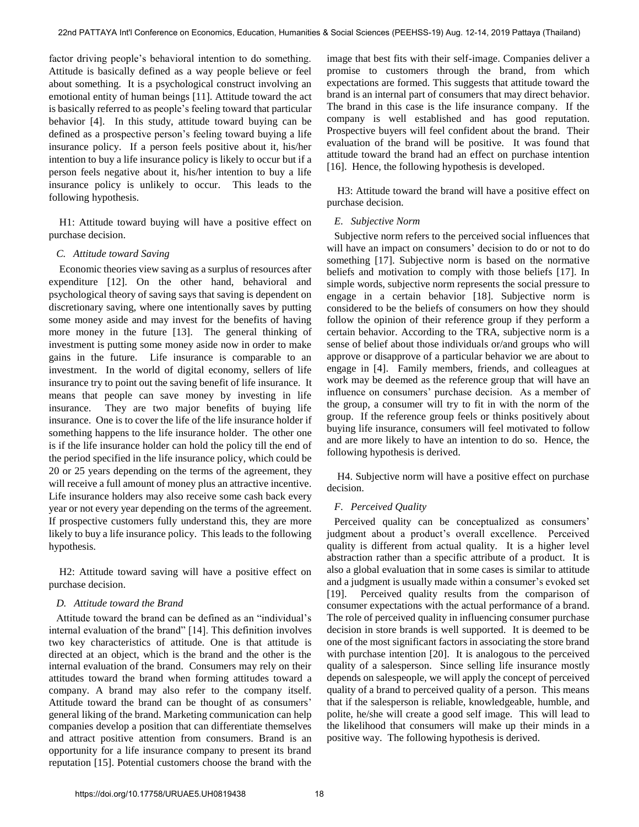factor driving people's behavioral intention to do something. Attitude is basically defined as a way people believe or feel about something. It is a psychological construct involving an emotional entity of human beings [11]. Attitude toward the act is basically referred to as people's feeling toward that particular behavior [4]. In this study, attitude toward buying can be defined as a prospective person's feeling toward buying a life insurance policy. If a person feels positive about it, his/her intention to buy a life insurance policy is likely to occur but if a person feels negative about it, his/her intention to buy a life insurance policy is unlikely to occur. This leads to the following hypothesis.

H1: Attitude toward buying will have a positive effect on purchase decision.

## *C. Attitude toward Saving*

Economic theories view saving as a surplus of resources after expenditure [12]. On the other hand, behavioral and psychological theory of saving says that saving is dependent on discretionary saving, where one intentionally saves by putting some money aside and may invest for the benefits of having more money in the future [13]. The general thinking of investment is putting some money aside now in order to make gains in the future. Life insurance is comparable to an investment. In the world of digital economy, sellers of life insurance try to point out the saving benefit of life insurance. It means that people can save money by investing in life insurance. They are two major benefits of buying life insurance. One is to cover the life of the life insurance holder if something happens to the life insurance holder. The other one is if the life insurance holder can hold the policy till the end of the period specified in the life insurance policy, which could be 20 or 25 years depending on the terms of the agreement, they will receive a full amount of money plus an attractive incentive. Life insurance holders may also receive some cash back every year or not every year depending on the terms of the agreement. If prospective customers fully understand this, they are more likely to buy a life insurance policy. This leads to the following hypothesis.

H2: Attitude toward saving will have a positive effect on purchase decision.

# *D. Attitude toward the Brand*

Attitude toward the brand can be defined as an "individual's internal evaluation of the brand" [14]. This definition involves two key characteristics of attitude. One is that attitude is directed at an object, which is the brand and the other is the internal evaluation of the brand. Consumers may rely on their attitudes toward the brand when forming attitudes toward a company. A brand may also refer to the company itself. Attitude toward the brand can be thought of as consumers' general liking of the brand. Marketing communication can help companies develop a position that can differentiate themselves and attract positive attention from consumers. Brand is an opportunity for a life insurance company to present its brand reputation [15]. Potential customers choose the brand with the

image that best fits with their self-image. Companies deliver a promise to customers through the brand, from which expectations are formed. This suggests that attitude toward the brand is an internal part of consumers that may direct behavior. The brand in this case is the life insurance company. If the company is well established and has good reputation. Prospective buyers will feel confident about the brand. Their evaluation of the brand will be positive. It was found that attitude toward the brand had an effect on purchase intention [16]. Hence, the following hypothesis is developed.

H3: Attitude toward the brand will have a positive effect on purchase decision.

## *E. Subjective Norm*

Subjective norm refers to the perceived social influences that will have an impact on consumers' decision to do or not to do something [17]. Subjective norm is based on the normative beliefs and motivation to comply with those beliefs [17]. In simple words, subjective norm represents the social pressure to engage in a certain behavior [18]. Subjective norm is considered to be the beliefs of consumers on how they should follow the opinion of their reference group if they perform a certain behavior. According to the TRA, subjective norm is a sense of belief about those individuals or/and groups who will approve or disapprove of a particular behavior we are about to engage in [4]. Family members, friends, and colleagues at work may be deemed as the reference group that will have an influence on consumers' purchase decision. As a member of the group, a consumer will try to fit in with the norm of the group. If the reference group feels or thinks positively about buying life insurance, consumers will feel motivated to follow and are more likely to have an intention to do so. Hence, the following hypothesis is derived.

H4. Subjective norm will have a positive effect on purchase decision.

## *F. Perceived Quality*

Perceived quality can be conceptualized as consumers' judgment about a product's overall excellence. Perceived quality is different from actual quality. It is a higher level abstraction rather than a specific attribute of a product. It is also a global evaluation that in some cases is similar to attitude and a judgment is usually made within a consumer's evoked set [19]. Perceived quality results from the comparison of consumer expectations with the actual performance of a brand. The role of perceived quality in influencing consumer purchase decision in store brands is well supported. It is deemed to be one of the most significant factors in associating the store brand with purchase intention [20]. It is analogous to the perceived quality of a salesperson. Since selling life insurance mostly depends on salespeople, we will apply the concept of perceived quality of a brand to perceived quality of a person. This means that if the salesperson is reliable, knowledgeable, humble, and polite, he/she will create a good self image. This will lead to the likelihood that consumers will make up their minds in a positive way. The following hypothesis is derived.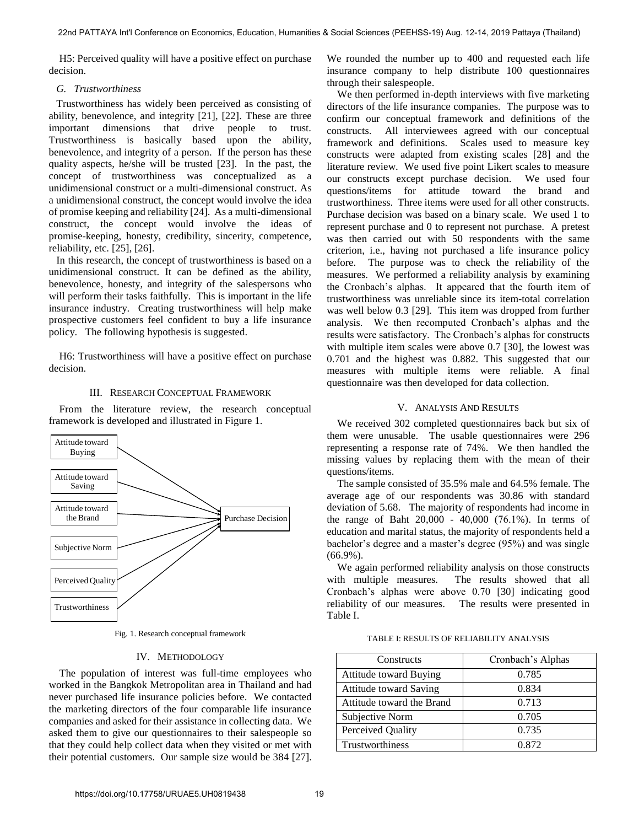H5: Perceived quality will have a positive effect on purchase decision.

## *G. Trustworthiness*

Trustworthiness has widely been perceived as consisting of ability, benevolence, and integrity [21], [22]. These are three important dimensions that drive people to trust. Trustworthiness is basically based upon the ability, benevolence, and integrity of a person. If the person has these quality aspects, he/she will be trusted [23]. In the past, the concept of trustworthiness was conceptualized as a unidimensional construct or a multi-dimensional construct. As a unidimensional construct, the concept would involve the idea of promise keeping and reliability [24]. As a multi-dimensional construct, the concept would involve the ideas of promise-keeping, honesty, credibility, sincerity, competence, reliability, etc. [25], [26].

In this research, the concept of trustworthiness is based on a unidimensional construct. It can be defined as the ability, benevolence, honesty, and integrity of the salespersons who will perform their tasks faithfully. This is important in the life insurance industry. Creating trustworthiness will help make prospective customers feel confident to buy a life insurance policy. The following hypothesis is suggested.

H6: Trustworthiness will have a positive effect on purchase decision.

## III. RESEARCH CONCEPTUAL FRAMEWORK

 From the literature review, the research conceptual framework is developed and illustrated in Figure 1.



Fig. 1. Research conceptual framework

## IV. METHODOLOGY

The population of interest was full-time employees who worked in the Bangkok Metropolitan area in Thailand and had never purchased life insurance policies before. We contacted the marketing directors of the four comparable life insurance companies and asked for their assistance in collecting data. We asked them to give our questionnaires to their salespeople so that they could help collect data when they visited or met with their potential customers. Our sample size would be 384 [27]. We rounded the number up to 400 and requested each life insurance company to help distribute 100 questionnaires through their salespeople.

We then performed in-depth interviews with five marketing directors of the life insurance companies. The purpose was to confirm our conceptual framework and definitions of the constructs. All interviewees agreed with our conceptual framework and definitions. Scales used to measure key constructs were adapted from existing scales [28] and the literature review. We used five point Likert scales to measure our constructs except purchase decision. We used four questions/items for attitude toward the brand and trustworthiness. Three items were used for all other constructs. Purchase decision was based on a binary scale. We used 1 to represent purchase and 0 to represent not purchase. A pretest was then carried out with 50 respondents with the same criterion, i.e., having not purchased a life insurance policy before. The purpose was to check the reliability of the measures. We performed a reliability analysis by examining the Cronbach's alphas. It appeared that the fourth item of trustworthiness was unreliable since its item-total correlation was well below 0.3 [29]. This item was dropped from further analysis. We then recomputed Cronbach's alphas and the results were satisfactory. The Cronbach's alphas for constructs with multiple item scales were above 0.7 [30], the lowest was 0.701 and the highest was 0.882. This suggested that our measures with multiple items were reliable. A final questionnaire was then developed for data collection.

## V. ANALYSIS AND RESULTS

We received 302 completed questionnaires back but six of them were unusable. The usable questionnaires were 296 representing a response rate of 74%. We then handled the missing values by replacing them with the mean of their questions/items.

The sample consisted of 35.5% male and 64.5% female. The average age of our respondents was 30.86 with standard deviation of 5.68. The majority of respondents had income in the range of Baht  $20,000 - 40,000 (76.1\%)$ . In terms of education and marital status, the majority of respondents held a bachelor's degree and a master's degree (95%) and was single (66.9%).

We again performed reliability analysis on those constructs with multiple measures. The results showed that all Cronbach's alphas were above 0.70 [30] indicating good reliability of our measures. The results were presented in Table I.

| TABLE I: RESULTS OF RELIABILITY ANALYSIS |  |  |
|------------------------------------------|--|--|
|------------------------------------------|--|--|

| Constructs                    | Cronbach's Alphas |  |
|-------------------------------|-------------------|--|
| <b>Attitude toward Buying</b> | 0.785             |  |
| <b>Attitude toward Saving</b> | 0.834             |  |
| Attitude toward the Brand     | 0.713             |  |
| Subjective Norm               | 0.705             |  |
| Perceived Quality             | 0.735             |  |
| Trustworthiness               | 0.872             |  |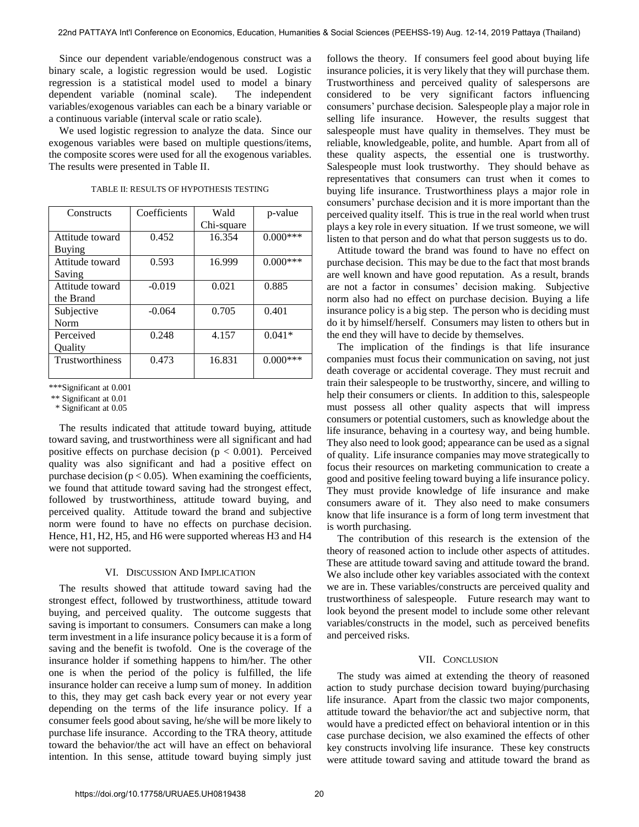Since our dependent variable/endogenous construct was a binary scale, a logistic regression would be used. Logistic regression is a statistical model used to model a binary dependent variable (nominal scale). The independent variables/exogenous variables can each be a binary variable or a continuous variable (interval scale or ratio scale).

We used logistic regression to analyze the data. Since our exogenous variables were based on multiple questions/items, the composite scores were used for all the exogenous variables. The results were presented in Table II.

| Constructs      | Coefficients | Wald       | p-value     |
|-----------------|--------------|------------|-------------|
|                 |              | Chi-square |             |
| Attitude toward | 0.452        | 16.354     | $0.000***$  |
| Buying          |              |            |             |
| Attitude toward | 0.593        | 16.999     | $0.000$ *** |
| Saving          |              |            |             |
| Attitude toward | $-0.019$     | 0.021      | 0.885       |
| the Brand       |              |            |             |
| Subjective      | $-0.064$     | 0.705      | 0.401       |
| Norm            |              |            |             |
| Perceived       | 0.248        | 4.157      | $0.041*$    |
| Quality         |              |            |             |
| Trustworthiness | 0.473        | 16.831     | $0.000***$  |
|                 |              |            |             |

TABLE II: RESULTS OF HYPOTHESIS TESTING

\*\*\*Significant at 0.001

\*\* Significant at 0.01

\* Significant at 0.05

The results indicated that attitude toward buying, attitude toward saving, and trustworthiness were all significant and had positive effects on purchase decision ( $p < 0.001$ ). Perceived quality was also significant and had a positive effect on purchase decision ( $p < 0.05$ ). When examining the coefficients, we found that attitude toward saving had the strongest effect, followed by trustworthiness, attitude toward buying, and perceived quality. Attitude toward the brand and subjective norm were found to have no effects on purchase decision. Hence, H1, H2, H5, and H6 were supported whereas H3 and H4 were not supported.

#### VI. DISCUSSION AND IMPLICATION

The results showed that attitude toward saving had the strongest effect, followed by trustworthiness, attitude toward buying, and perceived quality. The outcome suggests that saving is important to consumers. Consumers can make a long term investment in a life insurance policy because it is a form of saving and the benefit is twofold. One is the coverage of the insurance holder if something happens to him/her. The other one is when the period of the policy is fulfilled, the life insurance holder can receive a lump sum of money. In addition to this, they may get cash back every year or not every year depending on the terms of the life insurance policy. If a consumer feels good about saving, he/she will be more likely to purchase life insurance. According to the TRA theory, attitude toward the behavior/the act will have an effect on behavioral intention. In this sense, attitude toward buying simply just

follows the theory. If consumers feel good about buying life insurance policies, it is very likely that they will purchase them. Trustworthiness and perceived quality of salespersons are considered to be very significant factors influencing consumers' purchase decision. Salespeople play a major role in selling life insurance. However, the results suggest that salespeople must have quality in themselves. They must be reliable, knowledgeable, polite, and humble. Apart from all of these quality aspects, the essential one is trustworthy. Salespeople must look trustworthy. They should behave as representatives that consumers can trust when it comes to buying life insurance. Trustworthiness plays a major role in consumers' purchase decision and it is more important than the perceived quality itself. This is true in the real world when trust plays a key role in every situation. If we trust someone, we will listen to that person and do what that person suggests us to do.

Attitude toward the brand was found to have no effect on purchase decision. This may be due to the fact that most brands are well known and have good reputation. As a result, brands are not a factor in consumes' decision making. Subjective norm also had no effect on purchase decision. Buying a life insurance policy is a big step. The person who is deciding must do it by himself/herself. Consumers may listen to others but in the end they will have to decide by themselves.

The implication of the findings is that life insurance companies must focus their communication on saving, not just death coverage or accidental coverage. They must recruit and train their salespeople to be trustworthy, sincere, and willing to help their consumers or clients. In addition to this, salespeople must possess all other quality aspects that will impress consumers or potential customers, such as knowledge about the life insurance, behaving in a courtesy way, and being humble. They also need to look good; appearance can be used as a signal of quality. Life insurance companies may move strategically to focus their resources on marketing communication to create a good and positive feeling toward buying a life insurance policy. They must provide knowledge of life insurance and make consumers aware of it. They also need to make consumers know that life insurance is a form of long term investment that is worth purchasing.

The contribution of this research is the extension of the theory of reasoned action to include other aspects of attitudes. These are attitude toward saving and attitude toward the brand. We also include other key variables associated with the context we are in. These variables/constructs are perceived quality and trustworthiness of salespeople. Future research may want to look beyond the present model to include some other relevant variables/constructs in the model, such as perceived benefits and perceived risks.

#### VII. CONCLUSION

The study was aimed at extending the theory of reasoned action to study purchase decision toward buying/purchasing life insurance. Apart from the classic two major components, attitude toward the behavior/the act and subjective norm, that would have a predicted effect on behavioral intention or in this case purchase decision, we also examined the effects of other key constructs involving life insurance. These key constructs were attitude toward saving and attitude toward the brand as